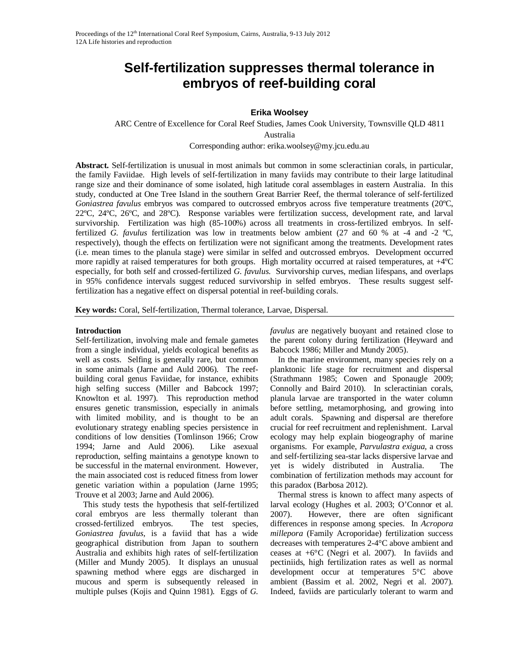# **Self-fertilization suppresses thermal tolerance in embryos of reef-building coral**

# **Erika Woolsey**

ARC Centre of Excellence for Coral Reef Studies, James Cook University, Townsville QLD 4811 Australia

Corresponding author: erika.woolsey@my.jcu.edu.au

**Abstract.** Self-fertilization is unusual in most animals but common in some scleractinian corals, in particular, the family Faviidae. High levels of self-fertilization in many faviids may contribute to their large latitudinal range size and their dominance of some isolated, high latitude coral assemblages in eastern Australia. In this study, conducted at One Tree Island in the southern Great Barrier Reef, the thermal tolerance of self-fertilized *Goniastrea favulus* embryos was compared to outcrossed embryos across five temperature treatments (20°C, 22ºC, 24ºC, 26ºC, and 28ºC). Response variables were fertilization success, development rate, and larval survivorship. Fertilization was high (85-100%) across all treatments in cross-fertilized embryos. In selffertilized *G. favulus* fertilization was low in treatments below ambient (27 and 60 % at -4 and -2 ºC, respectively), though the effects on fertilization were not significant among the treatments. Development rates (i.e. mean times to the planula stage) were similar in selfed and outcrossed embryos. Development occurred more rapidly at raised temperatures for both groups. High mortality occurred at raised temperatures, at +4ºC especially, for both self and crossed-fertilized *G. favulus*. Survivorship curves, median lifespans, and overlaps in 95% confidence intervals suggest reduced survivorship in selfed embryos. These results suggest selffertilization has a negative effect on dispersal potential in reef-building corals.

**Key words:** Coral, Self-fertilization, Thermal tolerance, Larvae, Dispersal.

## **Introduction**

Self-fertilization, involving male and female gametes from a single individual, yields ecological benefits as well as costs. Selfing is generally rare, but common in some animals (Jarne and Auld 2006). The reefbuilding coral genus Faviidae, for instance, exhibits high selfing success (Miller and Babcock 1997; Knowlton et al. 1997). This reproduction method ensures genetic transmission, especially in animals with limited mobility, and is thought to be an evolutionary strategy enabling species persistence in conditions of low densities (Tomlinson 1966; Crow 1994; Jarne and Auld 2006). Like asexual reproduction, selfing maintains a genotype known to be successful in the maternal environment. However, the main associated cost is reduced fitness from lower genetic variation within a population (Jarne 1995; Trouve et al 2003; Jarne and Auld 2006).

This study tests the hypothesis that self-fertilized coral embryos are less thermally tolerant than crossed-fertilized embryos. The test species, *Goniastrea favulus,* is a faviid that has a wide geographical distribution from Japan to southern Australia and exhibits high rates of self-fertilization (Miller and Mundy 2005). It displays an unusual spawning method where eggs are discharged in mucous and sperm is subsequently released in multiple pulses (Kojis and Quinn 1981). Eggs of *G.*  *favulus* are negatively buoyant and retained close to the parent colony during fertilization (Heyward and Babcock 1986; Miller and Mundy 2005).

In the marine environment, many species rely on a planktonic life stage for recruitment and dispersal (Strathmann 1985; Cowen and Sponaugle 2009; Connolly and Baird 2010). In scleractinian corals, planula larvae are transported in the water column before settling, metamorphosing, and growing into adult corals. Spawning and dispersal are therefore crucial for reef recruitment and replenishment. Larval ecology may help explain biogeography of marine organisms. For example, *Parvulastra exigua*, a cross and self-fertilizing sea-star lacks dispersive larvae and yet is widely distributed in Australia. The combination of fertilization methods may account for this paradox (Barbosa 2012).

Thermal stress is known to affect many aspects of larval ecology (Hughes et al. 2003; O'Connor et al. 2007). However, there are often significant differences in response among species. In *Acropora millepora* (Family Acroporidae) fertilization success decreases with temperatures 2-4°C above ambient and ceases at +6°C (Negri et al. 2007). In faviids and pectiniids, high fertilization rates as well as normal development occur at temperatures 5°C above ambient (Bassim et al. 2002, Negri et al. 2007). Indeed, faviids are particularly tolerant to warm and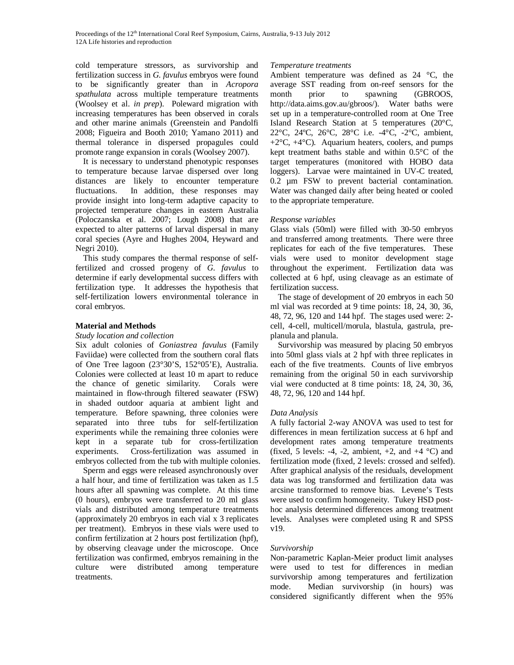cold temperature stressors, as survivorship and fertilization success in *G. favulus* embryos were found to be significantly greater than in *Acropora spathulata* across multiple temperature treatments (Woolsey et al. *in prep*). Poleward migration with increasing temperatures has been observed in corals and other marine animals (Greenstein and Pandolfi 2008; Figueira and Booth 2010; Yamano 2011) and thermal tolerance in dispersed propagules could promote range expansion in corals (Woolsey 2007).

It is necessary to understand phenotypic responses to temperature because larvae dispersed over long distances are likely to encounter temperature fluctuations. In addition, these responses may provide insight into long-term adaptive capacity to projected temperature changes in eastern Australia (Poloczanska et al. 2007; Lough 2008) that are expected to alter patterns of larval dispersal in many coral species (Ayre and Hughes 2004, Heyward and Negri 2010).

This study compares the thermal response of selffertilized and crossed progeny of *G. favulus* to determine if early developmental success differs with fertilization type. It addresses the hypothesis that self-fertilization lowers environmental tolerance in coral embryos.

## **Material and Methods**

#### *Study location and collection*

Six adult colonies of *Goniastrea favulus* (Family Faviidae) were collected from the southern coral flats of One Tree lagoon (23°30'S, 152°05'E), Australia. Colonies were collected at least 10 m apart to reduce the chance of genetic similarity. Corals were maintained in flow-through filtered seawater (FSW) in shaded outdoor aquaria at ambient light and temperature. Before spawning, three colonies were separated into three tubs for self-fertilization experiments while the remaining three colonies were kept in a separate tub for cross-fertilization experiments. Cross-fertilization was assumed in embryos collected from the tub with multiple colonies.

Sperm and eggs were released asynchronously over a half hour, and time of fertilization was taken as 1.5 hours after all spawning was complete. At this time (0 hours), embryos were transferred to 20 ml glass vials and distributed among temperature treatments (approximately 20 embryos in each vial x 3 replicates per treatment). Embryos in these vials were used to confirm fertilization at 2 hours post fertilization (hpf), by observing cleavage under the microscope. Once fertilization was confirmed, embryos remaining in the culture were distributed among temperature treatments.

## *Temperature treatments*

Ambient temperature was defined as 24 °C, the average SST reading from on-reef sensors for the month prior to spawning (GBROOS, http://data.aims.gov.au/gbroos/). Water baths were set up in a temperature-controlled room at One Tree Island Research Station at 5 temperatures (20°C, 22°C, 24ºC, 26°C, 28°C i.e. -4°C, -2°C, ambient,  $+2$ °C,  $+4$ °C). Aquarium heaters, coolers, and pumps kept treatment baths stable and within 0.5°C of the target temperatures (monitored with HOBO data loggers). Larvae were maintained in UV-C treated, 0.2 µm FSW to prevent bacterial contamination. Water was changed daily after being heated or cooled to the appropriate temperature.

## *Response variables*

Glass vials (50ml) were filled with 30-50 embryos and transferred among treatments. There were three replicates for each of the five temperatures. These vials were used to monitor development stage throughout the experiment. Fertilization data was collected at 6 hpf, using cleavage as an estimate of fertilization success.

The stage of development of 20 embryos in each 50 ml vial was recorded at 9 time points: 18, 24, 30, 36, 48, 72, 96, 120 and 144 hpf. The stages used were: 2 cell, 4-cell, multicell/morula, blastula, gastrula, preplanula and planula.

Survivorship was measured by placing 50 embryos into 50ml glass vials at 2 hpf with three replicates in each of the five treatments. Counts of live embryos remaining from the original 50 in each survivorship vial were conducted at 8 time points: 18, 24, 30, 36, 48, 72, 96, 120 and 144 hpf.

## *Data Analysis*

A fully factorial 2-way ANOVA was used to test for differences in mean fertilization success at 6 hpf and development rates among temperature treatments (fixed, 5 levels: -4, -2, ambient,  $+2$ , and  $+4$  °C) and fertilization mode (fixed, 2 levels: crossed and selfed). After graphical analysis of the residuals, development data was log transformed and fertilization data was arcsine transformed to remove bias. Levene's Tests were used to confirm homogeneity. Tukey HSD posthoc analysis determined differences among treatment levels. Analyses were completed using R and SPSS v19.

## *Survivorship*

Non-parametric Kaplan-Meier product limit analyses were used to test for differences in median survivorship among temperatures and fertilization mode. Median survivorship (in hours) was considered significantly different when the 95%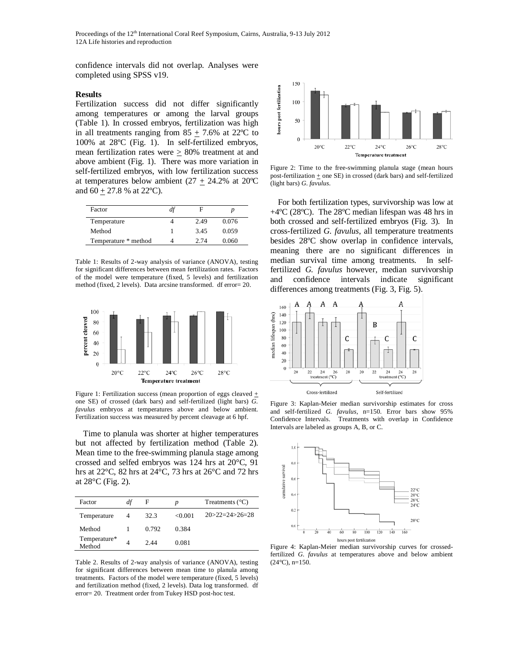Proceedings of the 12<sup>th</sup> International Coral Reef Symposium, Cairns, Australia, 9-13 July 2012 12A Life histories and reproduction

confidence intervals did not overlap. Analyses were completed using SPSS v19.

#### **Results**

Fertilization success did not differ significantly among temperatures or among the larval groups (Table 1). In crossed embryos, fertilization was high in all treatments ranging from  $85 + 7.6\%$  at 22<sup>o</sup>C to 100% at 28ºC (Fig. 1). In self-fertilized embryos, mean fertilization rates were  $\geq$  80% treatment at and above ambient (Fig. 1). There was more variation in self-fertilized embryos, with low fertilization success at temperatures below ambient  $(27 + 24.2\%$  at 20<sup>o</sup>C and  $60 \pm 27.8$  % at 22°C).

| Factor               | at |      |       |
|----------------------|----|------|-------|
| Temperature          |    | 2.49 | 0.076 |
| Method               |    | 3.45 | 0.059 |
| Temperature * method |    | 2.74 | 0.060 |

Table 1: Results of 2-way analysis of variance (ANOVA), testing for significant differences between mean fertilization rates. Factors of the model were temperature (fixed, 5 levels) and fertilization method (fixed, 2 levels). Data arcsine transformed. df error= 20.



Figure 1: Fertilization success (mean proportion of eggs cleaved + one SE) of crossed (dark bars) and self-fertilized (light bars) *G. favulus* embryos at temperatures above and below ambient. Fertilization success was measured by percent cleavage at 6 hpf.

Time to planula was shorter at higher temperatures but not affected by fertilization method (Table 2). Mean time to the free-swimming planula stage among crossed and selfed embryos was 124 hrs at 20°C, 91 hrs at 22°C, 82 hrs at 24°C, 73 hrs at 26°C and 72 hrs at 28°C (Fig. 2).

| Factor                 | df | F     | $\boldsymbol{v}$ | Treatments $(^{\circ}C)$ |
|------------------------|----|-------|------------------|--------------------------|
| Temperature            | 4  | 32.3  | < 0.001          | $20 > 22 = 24 > 26 = 28$ |
| Method                 |    | 0.792 | 0.384            |                          |
| Temperature*<br>Method |    | 2.44  | 0.081            |                          |

Table 2. Results of 2-way analysis of variance (ANOVA), testing for significant differences between mean time to planula among treatments. Factors of the model were temperature (fixed, 5 levels) and fertilization method (fixed, 2 levels). Data log transformed. df error= 20. Treatment order from Tukey HSD post-hoc test.



Figure 2: Time to the free-swimming planula stage (mean hours post-fertilization  $\pm$  one SE) in crossed (dark bars) and self-fertilized (light bars) *G. favulus*.

For both fertilization types, survivorship was low at +4ºC (28ºC). The 28ºC median lifespan was 48 hrs in both crossed and self-fertilized embryos (Fig. 3). In cross-fertilized *G. favulus*, all temperature treatments besides 28ºC show overlap in confidence intervals, meaning there are no significant differences in median survival time among treatments*.* In selffertilized *G. favulus* however, median survivorship and confidence intervals indicate significant differences among treatments (Fig. 3, Fig. 5).



Figure 3: Kaplan-Meier median survivorship estimates for cross and self-fertilized *G. favulus,* n=150*.* Error bars show 95% Confidence Intervals. Treatments with overlap in Confidence Intervals are labeled as groups A, B, or C.



Figure 4: Kaplan-Meier median survivorship curves for crossedfertilized *G. favulus* at temperatures above and below ambient  $(24^{\circ}C)$ , n=150.